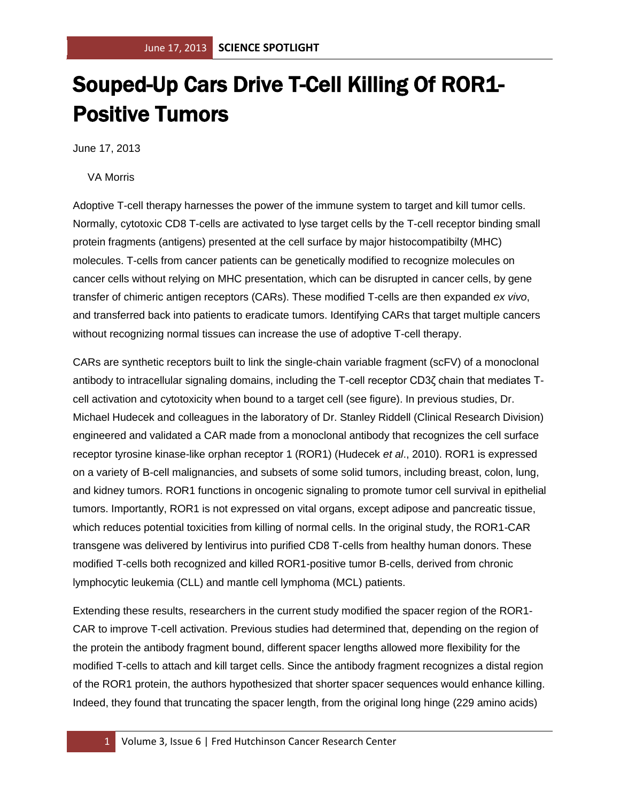## Souped-Up Cars Drive T-Cell Killing Of ROR1- Positive Tumors

June 17, 2013

VA Morris

Adoptive T-cell therapy harnesses the power of the immune system to target and kill tumor cells. Normally, cytotoxic CD8 T-cells are activated to lyse target cells by the T-cell receptor binding small protein fragments (antigens) presented at the cell surface by major histocompatibilty (MHC) molecules. T-cells from cancer patients can be genetically modified to recognize molecules on cancer cells without relying on MHC presentation, which can be disrupted in cancer cells, by gene transfer of chimeric antigen receptors (CARs). These modified T-cells are then expanded *ex vivo*, and transferred back into patients to eradicate tumors. Identifying CARs that target multiple cancers without recognizing normal tissues can increase the use of adoptive T-cell therapy.

CARs are synthetic receptors built to link the single-chain variable fragment (scFV) of a monoclonal antibody to intracellular signaling domains, including the T-cell receptor CD3ζ chain that mediates Tcell activation and cytotoxicity when bound to a target cell (see figure). In previous studies, Dr. Michael Hudecek and colleagues in the laboratory of Dr. Stanley Riddell (Clinical Research Division) engineered and validated a CAR made from a monoclonal antibody that recognizes the cell surface receptor tyrosine kinase-like orphan receptor 1 (ROR1) (Hudecek *et al*., 2010). ROR1 is expressed on a variety of B-cell malignancies, and subsets of some solid tumors, including breast, colon, lung, and kidney tumors. ROR1 functions in oncogenic signaling to promote tumor cell survival in epithelial tumors. Importantly, ROR1 is not expressed on vital organs, except adipose and pancreatic tissue, which reduces potential toxicities from killing of normal cells. In the original study, the ROR1-CAR transgene was delivered by lentivirus into purified CD8 T-cells from healthy human donors. These modified T-cells both recognized and killed ROR1-positive tumor B-cells, derived from chronic lymphocytic leukemia (CLL) and mantle cell lymphoma (MCL) patients.

Extending these results, researchers in the current study modified the spacer region of the ROR1- CAR to improve T-cell activation. Previous studies had determined that, depending on the region of the protein the antibody fragment bound, different spacer lengths allowed more flexibility for the modified T-cells to attach and kill target cells. Since the antibody fragment recognizes a distal region of the ROR1 protein, the authors hypothesized that shorter spacer sequences would enhance killing. Indeed, they found that truncating the spacer length, from the original long hinge (229 amino acids)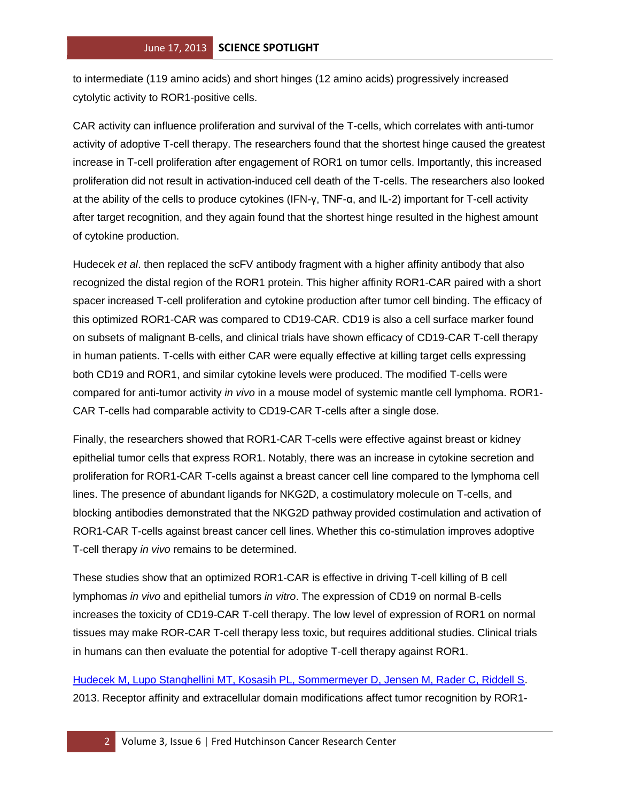to intermediate (119 amino acids) and short hinges (12 amino acids) progressively increased cytolytic activity to ROR1-positive cells.

CAR activity can influence proliferation and survival of the T-cells, which correlates with anti-tumor activity of adoptive T-cell therapy. The researchers found that the shortest hinge caused the greatest increase in T-cell proliferation after engagement of ROR1 on tumor cells. Importantly, this increased proliferation did not result in activation-induced cell death of the T-cells. The researchers also looked at the ability of the cells to produce cytokines (IFN-γ, TNF-α, and IL-2) important for T-cell activity after target recognition, and they again found that the shortest hinge resulted in the highest amount of cytokine production.

Hudecek *et al*. then replaced the scFV antibody fragment with a higher affinity antibody that also recognized the distal region of the ROR1 protein. This higher affinity ROR1-CAR paired with a short spacer increased T-cell proliferation and cytokine production after tumor cell binding. The efficacy of this optimized ROR1-CAR was compared to CD19-CAR. CD19 is also a cell surface marker found on subsets of malignant B-cells, and clinical trials have shown efficacy of CD19-CAR T-cell therapy in human patients. T-cells with either CAR were equally effective at killing target cells expressing both CD19 and ROR1, and similar cytokine levels were produced. The modified T-cells were compared for anti-tumor activity *in vivo* in a mouse model of systemic mantle cell lymphoma. ROR1- CAR T-cells had comparable activity to CD19-CAR T-cells after a single dose.

Finally, the researchers showed that ROR1-CAR T-cells were effective against breast or kidney epithelial tumor cells that express ROR1. Notably, there was an increase in cytokine secretion and proliferation for ROR1-CAR T-cells against a breast cancer cell line compared to the lymphoma cell lines. The presence of abundant ligands for NKG2D, a costimulatory molecule on T-cells, and blocking antibodies demonstrated that the NKG2D pathway provided costimulation and activation of ROR1-CAR T-cells against breast cancer cell lines. Whether this co-stimulation improves adoptive T-cell therapy *in vivo* remains to be determined.

These studies show that an optimized ROR1-CAR is effective in driving T-cell killing of B cell lymphomas *in vivo* and epithelial tumors *in vitro*. The expression of CD19 on normal B-cells increases the toxicity of CD19-CAR T-cell therapy. The low level of expression of ROR1 on normal tissues may make ROR-CAR T-cell therapy less toxic, but requires additional studies. Clinical trials in humans can then evaluate the potential for adoptive T-cell therapy against ROR1.

[Hudecek M, Lupo Stanghellini MT, Kosasih PL, Sommermeyer D, Jensen M, Rader C, Riddell S.](http://www.ncbi.nlm.nih.gov/pubmed/23620405?otool=fhcrclib) 2013. Receptor affinity and extracellular domain modifications affect tumor recognition by ROR1